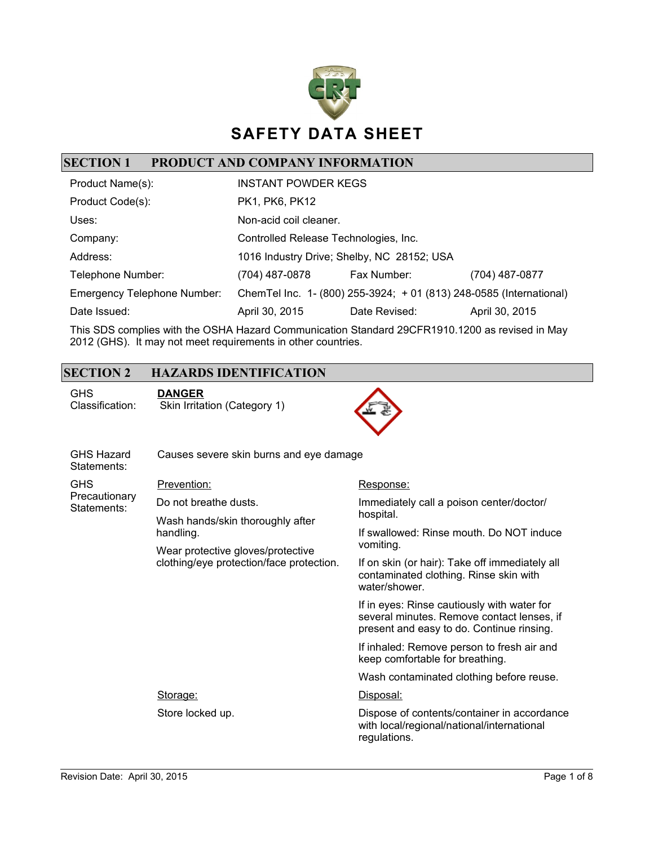

### **SECTION 1 PRODUCT AND COMPANY INFORMATION**

| Product Name(s):                   | <b>INSTANT POWDER KEGS</b>            |                                                                     |                |
|------------------------------------|---------------------------------------|---------------------------------------------------------------------|----------------|
| Product Code(s):                   | PK1, PK6, PK12                        |                                                                     |                |
| Uses:                              | Non-acid coil cleaner.                |                                                                     |                |
| Company:                           | Controlled Release Technologies, Inc. |                                                                     |                |
| Address:                           |                                       | 1016 Industry Drive; Shelby, NC 28152; USA                          |                |
| Telephone Number:                  | (704) 487-0878                        | Fax Number:                                                         | (704) 487-0877 |
| <b>Emergency Telephone Number:</b> |                                       | ChemTel Inc. 1- (800) 255-3924; + 01 (813) 248-0585 (International) |                |
| Date Issued:                       | April 30, 2015                        | Date Revised:                                                       | April 30, 2015 |

This SDS complies with the OSHA Hazard Communication Standard 29CFR1910.1200 as revised in May 2012 (GHS). It may not meet requirements in other countries.

#### **SECTION 2 HAZARDS IDENTIFICATION**

GHS Classification: **DANGER** Skin Irritation (Category 1)



| <b>GHS Hazard</b><br>Statements:           | Causes severe skin burns and eye damage                                       |                                                                                                                                        |  |
|--------------------------------------------|-------------------------------------------------------------------------------|----------------------------------------------------------------------------------------------------------------------------------------|--|
| <b>GHS</b><br>Precautionary<br>Statements: | Prevention:                                                                   | Response:                                                                                                                              |  |
|                                            | Do not breathe dusts.                                                         | Immediately call a poison center/doctor/                                                                                               |  |
|                                            | Wash hands/skin thoroughly after                                              | hospital.                                                                                                                              |  |
|                                            | handling.                                                                     | If swallowed: Rinse mouth. Do NOT induce                                                                                               |  |
|                                            | Wear protective gloves/protective<br>clothing/eye protection/face protection. | vomiting.                                                                                                                              |  |
|                                            |                                                                               | If on skin (or hair): Take off immediately all<br>contaminated clothing. Rinse skin with<br>water/shower.                              |  |
|                                            |                                                                               | If in eyes: Rinse cautiously with water for<br>several minutes. Remove contact lenses, if<br>present and easy to do. Continue rinsing. |  |
|                                            |                                                                               | If inhaled: Remove person to fresh air and<br>keep comfortable for breathing.                                                          |  |
|                                            |                                                                               | Wash contaminated clothing before reuse.                                                                                               |  |
|                                            | Storage:                                                                      | Disposal:                                                                                                                              |  |
|                                            | Store locked up.                                                              | Dispose of contents/container in accordance<br>with local/regional/national/international<br>regulations.                              |  |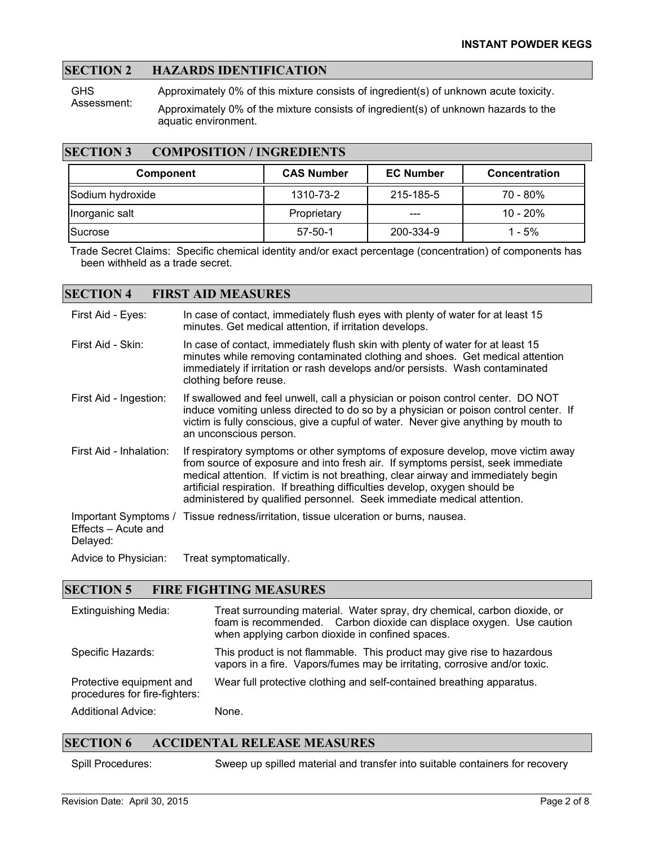#### **SECTION 2 HAZARDS IDENTIFICATION**

**GHS** Assessment: Approximately 0% of this mixture consists of ingredient(s) of unknown acute toxicity. Approximately 0% of the mixture consists of ingredient(s) of unknown hazards to the aquatic environment.

#### **SECTION 3 COMPOSITION / INGREDIENTS**

| <b>Component</b> | <b>CAS Number</b> | <b>EC Number</b> | <b>Concentration</b> |
|------------------|-------------------|------------------|----------------------|
| Sodium hydroxide | 1310-73-2         | 215-185-5        | $70 - 80\%$          |
| Inorganic salt   | Proprietary       | ---              | $10 - 20%$           |
| lSucrose         | $57 - 50 - 1$     | 200-334-9        | $1 - 5%$             |

Trade Secret Claims: Specific chemical identity and/or exact percentage (concentration) of components has been withheld as a trade secret.

#### **SECTION 4 FIRST AID MEASURES**

| First Aid - Eyes:                                       | In case of contact, immediately flush eyes with plenty of water for at least 15<br>minutes. Get medical attention, if irritation develops.                                                                                                                                                                                                                                                                       |
|---------------------------------------------------------|------------------------------------------------------------------------------------------------------------------------------------------------------------------------------------------------------------------------------------------------------------------------------------------------------------------------------------------------------------------------------------------------------------------|
| First Aid - Skin:                                       | In case of contact, immediately flush skin with plenty of water for at least 15<br>minutes while removing contaminated clothing and shoes. Get medical attention<br>immediately if irritation or rash develops and/or persists. Wash contaminated<br>clothing before reuse.                                                                                                                                      |
| First Aid - Ingestion:                                  | If swallowed and feel unwell, call a physician or poison control center. DO NOT<br>induce vomiting unless directed to do so by a physician or poison control center. If<br>victim is fully conscious, give a cupful of water. Never give anything by mouth to<br>an unconscious person.                                                                                                                          |
| First Aid - Inhalation:                                 | If respiratory symptoms or other symptoms of exposure develop, move victim away<br>from source of exposure and into fresh air. If symptoms persist, seek immediate<br>medical attention. If victim is not breathing, clear airway and immediately begin<br>artificial respiration. If breathing difficulties develop, oxygen should be<br>administered by qualified personnel. Seek immediate medical attention. |
| Important Symptoms /<br>Effects - Acute and<br>Delayed: | Tissue redness/irritation, tissue ulceration or burns, nausea.                                                                                                                                                                                                                                                                                                                                                   |
| Advice to Physician:                                    | Treat symptomatically.                                                                                                                                                                                                                                                                                                                                                                                           |

#### **SECTION 5 FIRE FIGHTING MEASURES**

| <b>Extinguishing Media:</b>                               | Treat surrounding material. Water spray, dry chemical, carbon dioxide, or<br>foam is recommended. Carbon dioxide can displace oxygen. Use caution<br>when applying carbon dioxide in confined spaces. |
|-----------------------------------------------------------|-------------------------------------------------------------------------------------------------------------------------------------------------------------------------------------------------------|
| Specific Hazards:                                         | This product is not flammable. This product may give rise to hazardous<br>vapors in a fire. Vapors/fumes may be irritating, corrosive and/or toxic.                                                   |
| Protective equipment and<br>procedures for fire-fighters: | Wear full protective clothing and self-contained breathing apparatus.                                                                                                                                 |
| <b>Additional Advice:</b>                                 | None.                                                                                                                                                                                                 |

#### **SECTION 6 ACCIDENTAL RELEASE MEASURES**

Spill Procedures: Sweep up spilled material and transfer into suitable containers for recovery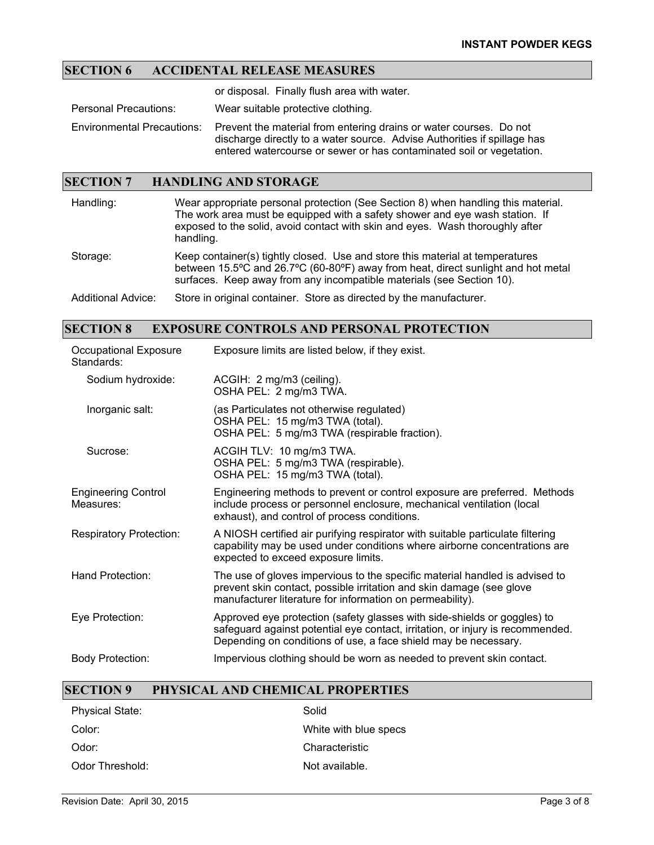## **SECTION 6 ACCIDENTAL RELEASE MEASURES**

or disposal. Finally flush area with water.

Personal Precautions: Wear suitable protective clothing.

Environmental Precautions: Prevent the material from entering drains or water courses. Do not discharge directly to a water source. Advise Authorities if spillage has entered watercourse or sewer or has contaminated soil or vegetation.

#### **SECTION 7 HANDLING AND STORAGE**

| Handling:                 | Wear appropriate personal protection (See Section 8) when handling this material.<br>The work area must be equipped with a safety shower and eye wash station. If<br>exposed to the solid, avoid contact with skin and eyes. Wash thoroughly after<br>handling. |
|---------------------------|-----------------------------------------------------------------------------------------------------------------------------------------------------------------------------------------------------------------------------------------------------------------|
| Storage:                  | Keep container(s) tightly closed. Use and store this material at temperatures<br>between 15.5°C and 26.7°C (60-80°F) away from heat, direct sunlight and hot metal<br>surfaces. Keep away from any incompatible materials (see Section 10).                     |
| <b>Additional Advice:</b> | Store in original container. Store as directed by the manufacturer.                                                                                                                                                                                             |

#### **SECTION 8 EXPOSURE CONTROLS AND PERSONAL PROTECTION**

| Occupational Exposure<br>Standards:     | Exposure limits are listed below, if they exist.                                                                                                                                                                              |
|-----------------------------------------|-------------------------------------------------------------------------------------------------------------------------------------------------------------------------------------------------------------------------------|
| Sodium hydroxide:                       | ACGIH: 2 mg/m3 (ceiling).<br>OSHA PEL: 2 mg/m3 TWA.                                                                                                                                                                           |
| Inorganic salt:                         | (as Particulates not otherwise regulated)<br>OSHA PEL: 15 mg/m3 TWA (total).<br>OSHA PEL: 5 mg/m3 TWA (respirable fraction).                                                                                                  |
| Sucrose:                                | ACGIH TLV: 10 mg/m3 TWA.<br>OSHA PEL: 5 mg/m3 TWA (respirable).<br>OSHA PEL: 15 mg/m3 TWA (total).                                                                                                                            |
| <b>Engineering Control</b><br>Measures: | Engineering methods to prevent or control exposure are preferred. Methods<br>include process or personnel enclosure, mechanical ventilation (local<br>exhaust), and control of process conditions.                            |
| <b>Respiratory Protection:</b>          | A NIOSH certified air purifying respirator with suitable particulate filtering<br>capability may be used under conditions where airborne concentrations are<br>expected to exceed exposure limits.                            |
| Hand Protection:                        | The use of gloves impervious to the specific material handled is advised to<br>prevent skin contact, possible irritation and skin damage (see glove<br>manufacturer literature for information on permeability).              |
| Eye Protection:                         | Approved eye protection (safety glasses with side-shields or goggles) to<br>safeguard against potential eye contact, irritation, or injury is recommended.<br>Depending on conditions of use, a face shield may be necessary. |
| <b>Body Protection:</b>                 | Impervious clothing should be worn as needed to prevent skin contact.                                                                                                                                                         |

#### **SECTION 9 PHYSICAL AND CHEMICAL PROPERTIES**

| <b>Physical State:</b> | Solid                 |
|------------------------|-----------------------|
| Color:                 | White with blue specs |
| Odor:                  | Characteristic        |
| Odor Threshold:        | Not available.        |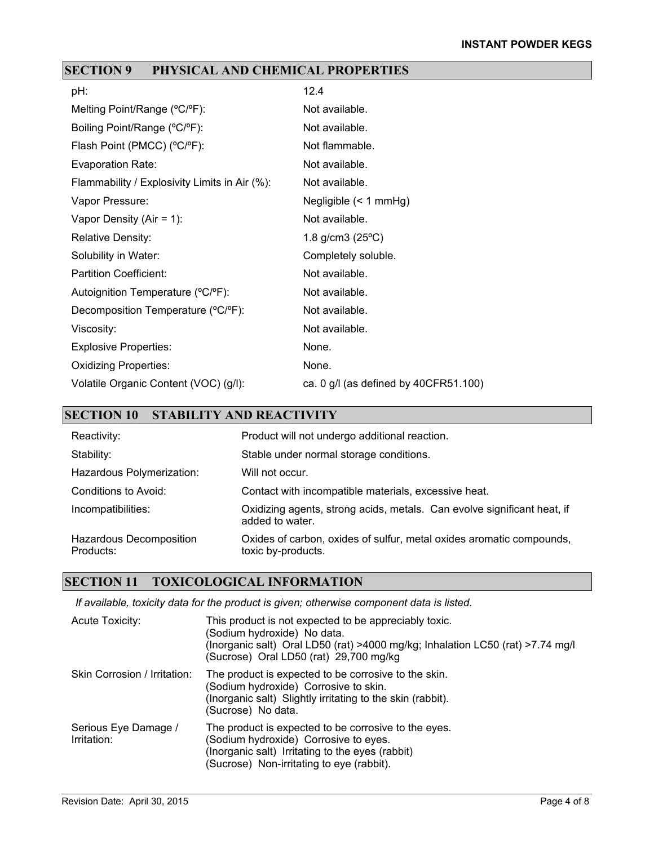# **SECTION 9 PHYSICAL AND CHEMICAL PROPERTIES**

| pH:                                           | 12.4                                    |
|-----------------------------------------------|-----------------------------------------|
| Melting Point/Range (°C/°F):                  | Not available.                          |
| Boiling Point/Range (°C/°F):                  | Not available.                          |
| Flash Point (PMCC) (°C/°F):                   | Not flammable.                          |
| <b>Evaporation Rate:</b>                      | Not available.                          |
| Flammability / Explosivity Limits in Air (%): | Not available.                          |
| Vapor Pressure:                               | Negligible $($ 1 mmHg)                  |
| Vapor Density (Air = $1$ ):                   | Not available.                          |
| <b>Relative Density:</b>                      | 1.8 g/cm3 $(25^{\circ}C)$               |
| Solubility in Water:                          | Completely soluble.                     |
| <b>Partition Coefficient:</b>                 | Not available.                          |
| Autoignition Temperature (°C/°F):             | Not available.                          |
| Decomposition Temperature (°C/°F):            | Not available.                          |
| Viscosity:                                    | Not available.                          |
| <b>Explosive Properties:</b>                  | None.                                   |
| <b>Oxidizing Properties:</b>                  | None.                                   |
| Volatile Organic Content (VOC) (g/l):         | ca. $0$ g/l (as defined by 40CFR51.100) |

# **SECTION 10 STABILITY AND REACTIVITY**

| Reactivity:                          | Product will not undergo additional reaction.                                              |
|--------------------------------------|--------------------------------------------------------------------------------------------|
| Stability:                           | Stable under normal storage conditions.                                                    |
| Hazardous Polymerization:            | Will not occur.                                                                            |
| Conditions to Avoid:                 | Contact with incompatible materials, excessive heat.                                       |
| Incompatibilities:                   | Oxidizing agents, strong acids, metals. Can evolve significant heat, if<br>added to water. |
| Hazardous Decomposition<br>Products: | Oxides of carbon, oxides of sulfur, metal oxides aromatic compounds,<br>toxic by-products. |

### **SECTION 11 TOXICOLOGICAL INFORMATION**

*If available, toxicity data for the product is given; otherwise component data is listed.*

| Acute Toxicity:                     | This product is not expected to be appreciably toxic.<br>(Sodium hydroxide) No data.<br>(Inorganic salt) Oral LD50 (rat) >4000 mg/kg; Inhalation LC50 (rat) >7.74 mg/l<br>(Sucrose) Oral LD50 (rat) 29,700 mg/kg |
|-------------------------------------|------------------------------------------------------------------------------------------------------------------------------------------------------------------------------------------------------------------|
| Skin Corrosion / Irritation:        | The product is expected to be corrosive to the skin.<br>(Sodium hydroxide) Corrosive to skin.<br>(Inorganic salt) Slightly irritating to the skin (rabbit).<br>(Sucrose) No data.                                |
| Serious Eye Damage /<br>Irritation: | The product is expected to be corrosive to the eyes.<br>(Sodium hydroxide) Corrosive to eyes.<br>(Inorganic salt) Irritating to the eyes (rabbit)<br>(Sucrose) Non-irritating to eye (rabbit).                   |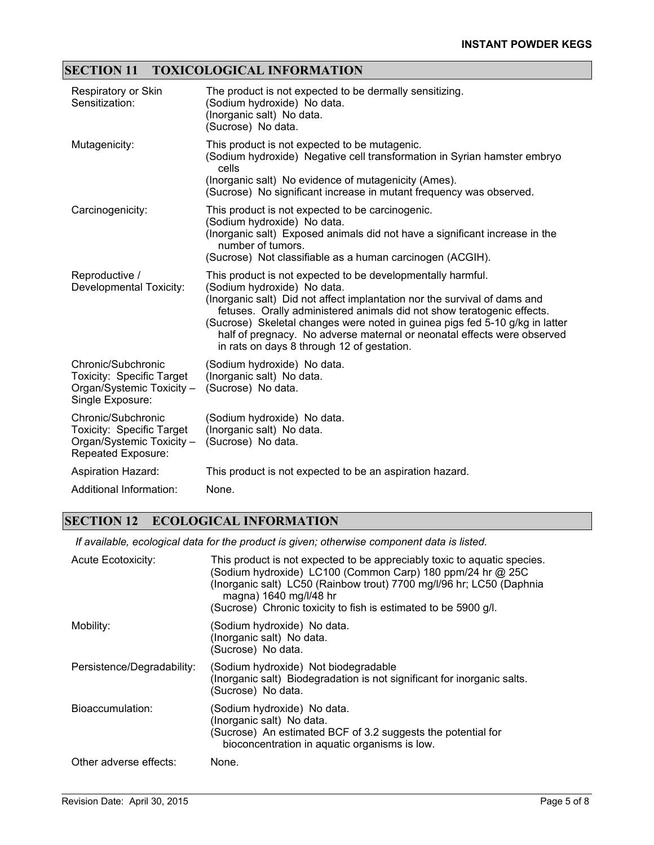### **SECTION 11 TOXICOLOGICAL INFORMATION**

| Respiratory or Skin<br>Sensitization:                                                                     | The product is not expected to be dermally sensitizing.<br>(Sodium hydroxide) No data.<br>(Inorganic salt) No data.<br>(Sucrose) No data.                                                                                                                                                                                                                                                                                                                  |
|-----------------------------------------------------------------------------------------------------------|------------------------------------------------------------------------------------------------------------------------------------------------------------------------------------------------------------------------------------------------------------------------------------------------------------------------------------------------------------------------------------------------------------------------------------------------------------|
| Mutagenicity:                                                                                             | This product is not expected to be mutagenic.<br>(Sodium hydroxide) Negative cell transformation in Syrian hamster embryo<br>cells<br>(Inorganic salt) No evidence of mutagenicity (Ames).<br>(Sucrose) No significant increase in mutant frequency was observed.                                                                                                                                                                                          |
| Carcinogenicity:                                                                                          | This product is not expected to be carcinogenic.<br>(Sodium hydroxide) No data.<br>(Inorganic salt) Exposed animals did not have a significant increase in the<br>number of tumors.<br>(Sucrose) Not classifiable as a human carcinogen (ACGIH).                                                                                                                                                                                                           |
| Reproductive /<br>Developmental Toxicity:                                                                 | This product is not expected to be developmentally harmful.<br>(Sodium hydroxide) No data.<br>(Inorganic salt) Did not affect implantation nor the survival of dams and<br>fetuses. Orally administered animals did not show teratogenic effects.<br>(Sucrose) Skeletal changes were noted in guinea pigs fed 5-10 g/kg in latter<br>half of pregnacy. No adverse maternal or neonatal effects were observed<br>in rats on days 8 through 12 of gestation. |
| Chronic/Subchronic<br>Toxicity: Specific Target<br>Organ/Systemic Toxicity -<br>Single Exposure:          | (Sodium hydroxide) No data.<br>(Inorganic salt) No data.<br>(Sucrose) No data.                                                                                                                                                                                                                                                                                                                                                                             |
| Chronic/Subchronic<br><b>Toxicity: Specific Target</b><br>Organ/Systemic Toxicity -<br>Repeated Exposure: | (Sodium hydroxide) No data.<br>(Inorganic salt) No data.<br>(Sucrose) No data.                                                                                                                                                                                                                                                                                                                                                                             |
| <b>Aspiration Hazard:</b>                                                                                 | This product is not expected to be an aspiration hazard.                                                                                                                                                                                                                                                                                                                                                                                                   |
| Additional Information:                                                                                   | None.                                                                                                                                                                                                                                                                                                                                                                                                                                                      |

## **SECTION 12 ECOLOGICAL INFORMATION**

*If available, ecological data for the product is given; otherwise component data is listed.*

| Acute Ecotoxicity:         | This product is not expected to be appreciably toxic to aquatic species.<br>Sodium hydroxide) LC100 (Common Carp) 180 ppm/24 hr @ 25C<br>(Inorganic salt) LC50 (Rainbow trout) 7700 mg/l/96 hr; LC50 (Daphnia<br>magna) 1640 mg/l/48 hr<br>(Sucrose) Chronic toxicity to fish is estimated to be 5900 g/l. |
|----------------------------|------------------------------------------------------------------------------------------------------------------------------------------------------------------------------------------------------------------------------------------------------------------------------------------------------------|
| Mobility:                  | (Sodium hydroxide) No data.<br>(Inorganic salt) No data.<br>(Sucrose) No data.                                                                                                                                                                                                                             |
| Persistence/Degradability: | (Sodium hydroxide) Not biodegradable<br>(Inorganic salt) Biodegradation is not significant for inorganic salts.<br>(Sucrose) No data.                                                                                                                                                                      |
| Bioaccumulation:           | (Sodium hydroxide) No data.<br>(Inorganic salt) No data.<br>(Sucrose) An estimated BCF of 3.2 suggests the potential for<br>bioconcentration in aquatic organisms is low.                                                                                                                                  |
| Other adverse effects:     | None.                                                                                                                                                                                                                                                                                                      |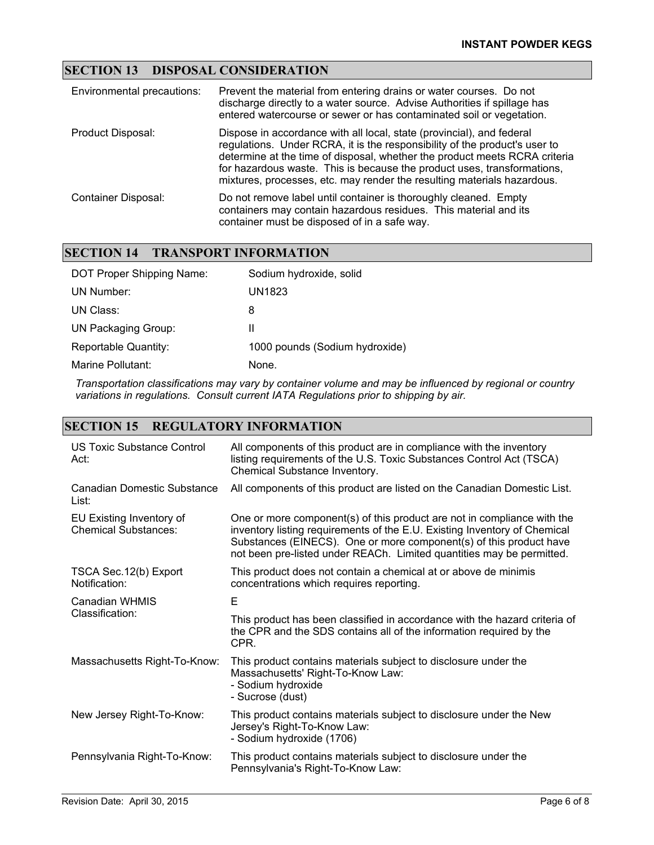### **SECTION 13 DISPOSAL CONSIDERATION**

| Environmental precautions: | Prevent the material from entering drains or water courses. Do not<br>discharge directly to a water source. Advise Authorities if spillage has<br>entered watercourse or sewer or has contaminated soil or vegetation.                                                                                                                                                                  |
|----------------------------|-----------------------------------------------------------------------------------------------------------------------------------------------------------------------------------------------------------------------------------------------------------------------------------------------------------------------------------------------------------------------------------------|
| Product Disposal:          | Dispose in accordance with all local, state (provincial), and federal<br>regulations. Under RCRA, it is the responsibility of the product's user to<br>determine at the time of disposal, whether the product meets RCRA criteria<br>for hazardous waste. This is because the product uses, transformations,<br>mixtures, processes, etc. may render the resulting materials hazardous. |
| Container Disposal:        | Do not remove label until container is thoroughly cleaned. Empty<br>containers may contain hazardous residues. This material and its<br>container must be disposed of in a safe way.                                                                                                                                                                                                    |

#### **SECTION 14 TRANSPORT INFORMATION**

| DOT Proper Shipping Name:  | Sodium hydroxide, solid        |
|----------------------------|--------------------------------|
| UN Number:                 | UN1823                         |
| UN Class:                  | 8                              |
| <b>UN Packaging Group:</b> | Ш                              |
| Reportable Quantity:       | 1000 pounds (Sodium hydroxide) |
| Marine Pollutant:          | None.                          |
|                            |                                |

*Transportation classifications may vary by container volume and may be influenced by regional or country variations in regulations. Consult current IATA Regulations prior to shipping by air.*

### **SECTION 15 REGULATORY INFORMATION**

| US Toxic Substance Control<br>Act:                      | All components of this product are in compliance with the inventory<br>listing requirements of the U.S. Toxic Substances Control Act (TSCA)<br>Chemical Substance Inventory.                                                                                                                        |
|---------------------------------------------------------|-----------------------------------------------------------------------------------------------------------------------------------------------------------------------------------------------------------------------------------------------------------------------------------------------------|
| Canadian Domestic Substance<br>List:                    | All components of this product are listed on the Canadian Domestic List.                                                                                                                                                                                                                            |
| EU Existing Inventory of<br><b>Chemical Substances:</b> | One or more component(s) of this product are not in compliance with the<br>inventory listing requirements of the E.U. Existing Inventory of Chemical<br>Substances (EINECS). One or more component(s) of this product have<br>not been pre-listed under REACh. Limited quantities may be permitted. |
| TSCA Sec. 12(b) Export<br>Notification:                 | This product does not contain a chemical at or above de minimis<br>concentrations which requires reporting.                                                                                                                                                                                         |
| Canadian WHMIS<br>Classification:                       | E                                                                                                                                                                                                                                                                                                   |
|                                                         | This product has been classified in accordance with the hazard criteria of<br>the CPR and the SDS contains all of the information required by the<br>CPR.                                                                                                                                           |
| Massachusetts Right-To-Know:                            | This product contains materials subject to disclosure under the<br>Massachusetts' Right-To-Know Law:<br>- Sodium hydroxide<br>- Sucrose (dust)                                                                                                                                                      |
| New Jersey Right-To-Know:                               | This product contains materials subject to disclosure under the New<br>Jersey's Right-To-Know Law:<br>- Sodium hydroxide (1706)                                                                                                                                                                     |
| Pennsylvania Right-To-Know:                             | This product contains materials subject to disclosure under the<br>Pennsylvania's Right-To-Know Law:                                                                                                                                                                                                |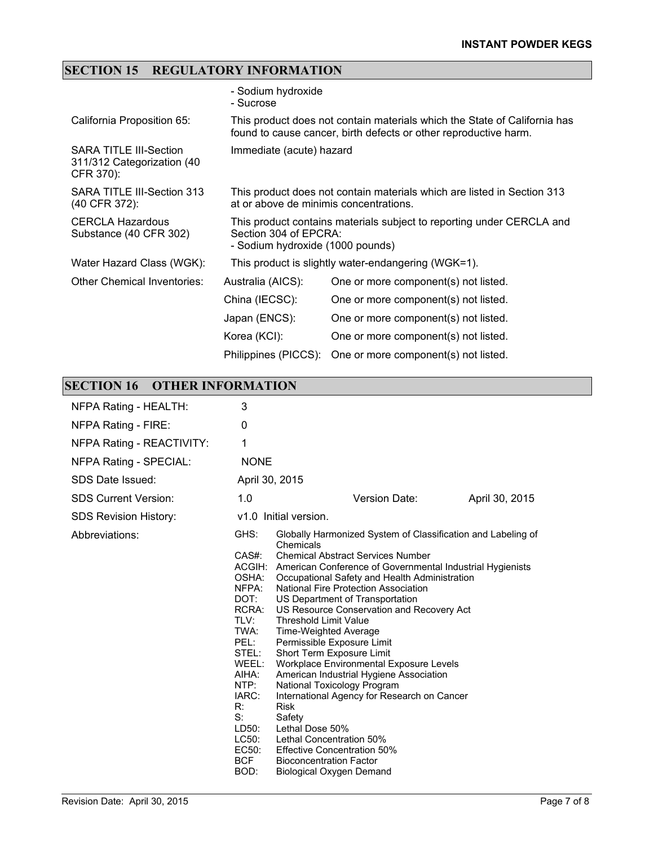# **SECTION 15 REGULATORY INFORMATION**

|                                                                          | - Sodium hydroxide<br>- Sucrose                                                                                                               |                                                                         |
|--------------------------------------------------------------------------|-----------------------------------------------------------------------------------------------------------------------------------------------|-------------------------------------------------------------------------|
| California Proposition 65:                                               | This product does not contain materials which the State of California has<br>found to cause cancer, birth defects or other reproductive harm. |                                                                         |
| <b>SARA TITLE III-Section</b><br>311/312 Categorization (40<br>CFR 370): | Immediate (acute) hazard                                                                                                                      |                                                                         |
| SARA TITLE III-Section 313<br>(40 CFR 372):                              | at or above de minimis concentrations.                                                                                                        | This product does not contain materials which are listed in Section 313 |
| <b>CERCLA Hazardous</b><br>Substance (40 CFR 302)                        | Section 304 of EPCRA:<br>- Sodium hydroxide (1000 pounds)                                                                                     | This product contains materials subject to reporting under CERCLA and   |
| Water Hazard Class (WGK):                                                |                                                                                                                                               | This product is slightly water-endangering (WGK=1).                     |
| Other Chemical Inventories:                                              | Australia (AICS):                                                                                                                             | One or more component(s) not listed.                                    |
|                                                                          | China (IECSC):                                                                                                                                | One or more component(s) not listed.                                    |
|                                                                          | Japan (ENCS):                                                                                                                                 | One or more component(s) not listed.                                    |
|                                                                          | Korea (KCI):                                                                                                                                  | One or more component(s) not listed.                                    |
|                                                                          | Philippines (PICCS):                                                                                                                          | One or more component(s) not listed.                                    |

# **SECTION 16 OTHER INFORMATION**

| NFPA Rating - HEALTH:         | 3                                                                                                                                                                             |                                                                                                                                                                                                                                                                                                                                                                                                                                                                                                                                                                                                                                                                                                                                                                                                                                               |                |
|-------------------------------|-------------------------------------------------------------------------------------------------------------------------------------------------------------------------------|-----------------------------------------------------------------------------------------------------------------------------------------------------------------------------------------------------------------------------------------------------------------------------------------------------------------------------------------------------------------------------------------------------------------------------------------------------------------------------------------------------------------------------------------------------------------------------------------------------------------------------------------------------------------------------------------------------------------------------------------------------------------------------------------------------------------------------------------------|----------------|
| NFPA Rating - FIRE:           | 0                                                                                                                                                                             |                                                                                                                                                                                                                                                                                                                                                                                                                                                                                                                                                                                                                                                                                                                                                                                                                                               |                |
| NFPA Rating - REACTIVITY:     | 1                                                                                                                                                                             |                                                                                                                                                                                                                                                                                                                                                                                                                                                                                                                                                                                                                                                                                                                                                                                                                                               |                |
| <b>NFPA Rating - SPECIAL:</b> | <b>NONE</b>                                                                                                                                                                   |                                                                                                                                                                                                                                                                                                                                                                                                                                                                                                                                                                                                                                                                                                                                                                                                                                               |                |
| SDS Date Issued:              |                                                                                                                                                                               | April 30, 2015                                                                                                                                                                                                                                                                                                                                                                                                                                                                                                                                                                                                                                                                                                                                                                                                                                |                |
| <b>SDS Current Version:</b>   | 1.0                                                                                                                                                                           | Version Date:                                                                                                                                                                                                                                                                                                                                                                                                                                                                                                                                                                                                                                                                                                                                                                                                                                 | April 30, 2015 |
| <b>SDS Revision History:</b>  |                                                                                                                                                                               | v1.0 Initial version.                                                                                                                                                                                                                                                                                                                                                                                                                                                                                                                                                                                                                                                                                                                                                                                                                         |                |
| Abbreviations:                | GHS:<br>CAS#:<br>OSHA:<br>NFPA:<br>DOT:<br>RCRA:<br>TLV:<br>TWA:<br>PEL:<br>STEL:<br>WEEL:<br>AIHA:<br>NTP:<br>IARC:<br>R:<br>$S$ :<br>LD50:<br>LC50:<br>EC50:<br>BCF<br>BOD: | Globally Harmonized System of Classification and Labeling of<br>Chemicals<br><b>Chemical Abstract Services Number</b><br>ACGIH: American Conference of Governmental Industrial Hygienists<br>Occupational Safety and Health Administration<br>National Fire Protection Association<br>US Department of Transportation<br>US Resource Conservation and Recovery Act<br><b>Threshold Limit Value</b><br><b>Time-Weighted Average</b><br>Permissible Exposure Limit<br>Short Term Exposure Limit<br>Workplace Environmental Exposure Levels<br>American Industrial Hygiene Association<br>National Toxicology Program<br>International Agency for Research on Cancer<br><b>Risk</b><br>Safety<br>Lethal Dose 50%<br>Lethal Concentration 50%<br><b>Effective Concentration 50%</b><br><b>Bioconcentration Factor</b><br>Biological Oxygen Demand |                |